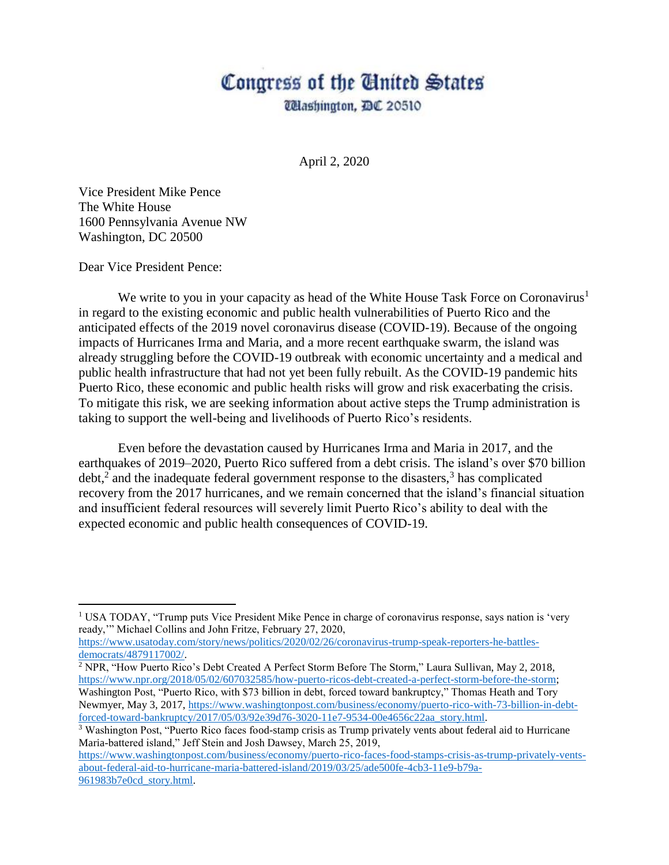## Congress of the Ginited States *Ulashington, DC 20510*

April 2, 2020

Vice President Mike Pence The White House 1600 Pennsylvania Avenue NW Washington, DC 20500

Dear Vice President Pence:

 $\overline{a}$ 

We write to you in your capacity as head of the White House Task Force on Coronavirus<sup>1</sup> in regard to the existing economic and public health vulnerabilities of Puerto Rico and the anticipated effects of the 2019 novel coronavirus disease (COVID-19). Because of the ongoing impacts of Hurricanes Irma and Maria, and a more recent earthquake swarm, the island was already struggling before the COVID-19 outbreak with economic uncertainty and a medical and public health infrastructure that had not yet been fully rebuilt. As the COVID-19 pandemic hits Puerto Rico, these economic and public health risks will grow and risk exacerbating the crisis. To mitigate this risk, we are seeking information about active steps the Trump administration is taking to support the well-being and livelihoods of Puerto Rico's residents.

Even before the devastation caused by Hurricanes Irma and Maria in 2017, and the earthquakes of 2019–2020, Puerto Rico suffered from a debt crisis. The island's over \$70 billion  $\text{debt}^2$  and the inadequate federal government response to the disasters,<sup>3</sup> has complicated recovery from the 2017 hurricanes, and we remain concerned that the island's financial situation and insufficient federal resources will severely limit Puerto Rico's ability to deal with the expected economic and public health consequences of COVID-19.

<sup>&</sup>lt;sup>1</sup> USA TODAY, "Trump puts Vice President Mike Pence in charge of coronavirus response, says nation is 'very ready,'" Michael Collins and John Fritze, February 27, 2020,

[https://www.usatoday.com/story/news/politics/2020/02/26/coronavirus-trump-speak-reporters-he-battles](https://www.usatoday.com/story/news/politics/2020/02/26/coronavirus-trump-speak-reporters-he-battles-democrats/4879117002/)[democrats/4879117002/.](https://www.usatoday.com/story/news/politics/2020/02/26/coronavirus-trump-speak-reporters-he-battles-democrats/4879117002/)

<sup>2</sup> NPR, "How Puerto Rico's Debt Created A Perfect Storm Before The Storm," Laura Sullivan, May 2, 2018, [https://www.npr.org/2018/05/02/607032585/how-puerto-ricos-debt-created-a-perfect-storm-before-the-storm;](https://www.npr.org/2018/05/02/607032585/how-puerto-ricos-debt-created-a-perfect-storm-before-the-storm) Washington Post, "Puerto Rico, with \$73 billion in debt, forced toward bankruptcy," Thomas Heath and Tory Newmyer, May 3, 2017, [https://www.washingtonpost.com/business/economy/puerto-rico-with-73-billion-in-debt](https://www.washingtonpost.com/business/economy/puerto-rico-with-73-billion-in-debt-forced-toward-bankruptcy/2017/05/03/92e39d76-3020-11e7-9534-00e4656c22aa_story.html)[forced-toward-bankruptcy/2017/05/03/92e39d76-3020-11e7-9534-00e4656c22aa\\_story.html.](https://www.washingtonpost.com/business/economy/puerto-rico-with-73-billion-in-debt-forced-toward-bankruptcy/2017/05/03/92e39d76-3020-11e7-9534-00e4656c22aa_story.html)

<sup>3</sup> Washington Post, "Puerto Rico faces food-stamp crisis as Trump privately vents about federal aid to Hurricane Maria-battered island," Jeff Stein and Josh Dawsey, March 25, 2019,

[https://www.washingtonpost.com/business/economy/puerto-rico-faces-food-stamps-crisis-as-trump-privately-vents](https://www.washingtonpost.com/business/economy/puerto-rico-faces-food-stamps-crisis-as-trump-privately-vents-about-federal-aid-to-hurricane-maria-battered-island/2019/03/25/ade500fe-4cb3-11e9-b79a-961983b7e0cd_story.html)[about-federal-aid-to-hurricane-maria-battered-island/2019/03/25/ade500fe-4cb3-11e9-b79a-](https://www.washingtonpost.com/business/economy/puerto-rico-faces-food-stamps-crisis-as-trump-privately-vents-about-federal-aid-to-hurricane-maria-battered-island/2019/03/25/ade500fe-4cb3-11e9-b79a-961983b7e0cd_story.html)[961983b7e0cd\\_story.html.](https://www.washingtonpost.com/business/economy/puerto-rico-faces-food-stamps-crisis-as-trump-privately-vents-about-federal-aid-to-hurricane-maria-battered-island/2019/03/25/ade500fe-4cb3-11e9-b79a-961983b7e0cd_story.html)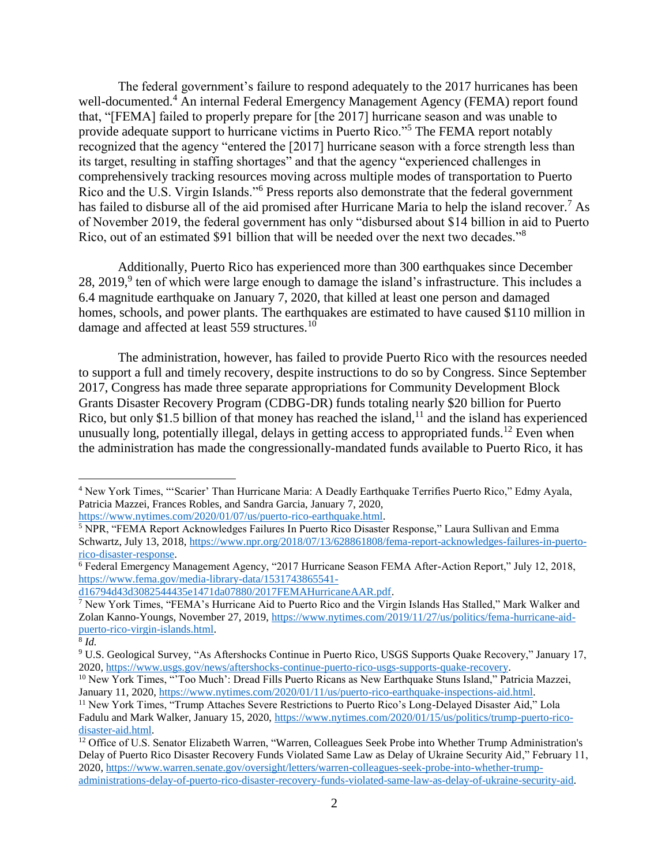The federal government's failure to respond adequately to the 2017 hurricanes has been well-documented.<sup>4</sup> An internal Federal Emergency Management Agency (FEMA) report found that, "[FEMA] failed to properly prepare for [the 2017] hurricane season and was unable to provide adequate support to hurricane victims in Puerto Rico."<sup>5</sup> The FEMA report notably recognized that the agency "entered the [2017] hurricane season with a force strength less than its target, resulting in staffing shortages" and that the agency "experienced challenges in comprehensively tracking resources moving across multiple modes of transportation to Puerto Rico and the U.S. Virgin Islands."<sup>6</sup> Press reports also demonstrate that the federal government has failed to disburse all of the aid promised after Hurricane Maria to help the island recover.<sup>7</sup> As of November 2019, the federal government has only "disbursed about \$14 billion in aid to Puerto Rico, out of an estimated \$91 billion that will be needed over the next two decades."<sup>8</sup>

Additionally, Puerto Rico has experienced more than 300 earthquakes since December 28, 2019, $9$  ten of which were large enough to damage the island's infrastructure. This includes a 6.4 magnitude earthquake on January 7, 2020, that killed at least one person and damaged homes, schools, and power plants. The earthquakes are estimated to have caused \$110 million in damage and affected at least 559 structures.<sup>10</sup>

The administration, however, has failed to provide Puerto Rico with the resources needed to support a full and timely recovery, despite instructions to do so by Congress. Since September 2017, Congress has made three separate appropriations for Community Development Block Grants Disaster Recovery Program (CDBG-DR) funds totaling nearly \$20 billion for Puerto Rico, but only \$1.5 billion of that money has reached the island, $^{11}$  and the island has experienced unusually long, potentially illegal, delays in getting access to appropriated funds.<sup>12</sup> Even when the administration has made the congressionally-mandated funds available to Puerto Rico, it has

[d16794d43d3082544435e1471da07880/2017FEMAHurricaneAAR.pdf.](https://www.fema.gov/media-library-data/1531743865541-d16794d43d3082544435e1471da07880/2017FEMAHurricaneAAR.pdf)

<sup>4</sup> New York Times, "'Scarier' Than Hurricane Maria: A Deadly Earthquake Terrifies Puerto Rico," Edmy Ayala, Patricia Mazzei, Frances Robles, and Sandra Garcia, January 7, 2020, [https://www.nytimes.com/2020/01/07/us/puerto-rico-earthquake.html.](https://www.nytimes.com/2020/01/07/us/puerto-rico-earthquake.html) 

<sup>5</sup> NPR, "FEMA Report Acknowledges Failures In Puerto Rico Disaster Response," Laura Sullivan and Emma Schwartz, July 13, 2018, [https://www.npr.org/2018/07/13/628861808/fema-report-acknowledges-failures-in-puerto](https://www.npr.org/2018/07/13/628861808/fema-report-acknowledges-failures-in-puerto-rico-disaster-response)[rico-disaster-response.](https://www.npr.org/2018/07/13/628861808/fema-report-acknowledges-failures-in-puerto-rico-disaster-response)

<sup>6</sup> Federal Emergency Management Agency, "2017 Hurricane Season FEMA After-Action Report," July 12, 2018, [https://www.fema.gov/media-library-data/1531743865541-](https://www.fema.gov/media-library-data/1531743865541-d16794d43d3082544435e1471da07880/2017FEMAHurricaneAAR.pdf)

<sup>7</sup> New York Times, "FEMA's Hurricane Aid to Puerto Rico and the Virgin Islands Has Stalled," Mark Walker and Zolan Kanno-Youngs, November 27, 2019[, https://www.nytimes.com/2019/11/27/us/politics/fema-hurricane-aid](https://www.nytimes.com/2019/11/27/us/politics/fema-hurricane-aid-puerto-rico-virgin-islands.html)[puerto-rico-virgin-islands.html.](https://www.nytimes.com/2019/11/27/us/politics/fema-hurricane-aid-puerto-rico-virgin-islands.html)

<sup>8</sup> *Id.*

<sup>9</sup> U.S. Geological Survey, "As Aftershocks Continue in Puerto Rico, USGS Supports Quake Recovery," January 17, 2020, [https://www.usgs.gov/news/aftershocks-continue-puerto-rico-usgs-supports-quake-recovery.](https://www.usgs.gov/news/aftershocks-continue-puerto-rico-usgs-supports-quake-recovery)

<sup>&</sup>lt;sup>10</sup> New York Times, "'Too Much': Dread Fills Puerto Ricans as New Earthquake Stuns Island," Patricia Mazzei, January 11, 2020[, https://www.nytimes.com/2020/01/11/us/puerto-rico-earthquake-inspections-aid.html.](https://www.nytimes.com/2020/01/11/us/puerto-rico-earthquake-inspections-aid.html)

<sup>11</sup> New York Times, "Trump Attaches Severe Restrictions to Puerto Rico's Long-Delayed Disaster Aid," Lola Fadulu and Mark Walker, January 15, 2020, [https://www.nytimes.com/2020/01/15/us/politics/trump-puerto-rico](https://www.nytimes.com/2020/01/15/us/politics/trump-puerto-rico-disaster-aid.html)[disaster-aid.html.](https://www.nytimes.com/2020/01/15/us/politics/trump-puerto-rico-disaster-aid.html)

<sup>&</sup>lt;sup>12</sup> Office of U.S. Senator Elizabeth Warren, "Warren, Colleagues Seek Probe into Whether Trump Administration's Delay of Puerto Rico Disaster Recovery Funds Violated Same Law as Delay of Ukraine Security Aid," February 11, 2020, [https://www.warren.senate.gov/oversight/letters/warren-colleagues-seek-probe-into-whether-trump](https://www.warren.senate.gov/oversight/letters/warren-colleagues-seek-probe-into-whether-trump-administrations-delay-of-puerto-rico-disaster-recovery-funds-violated-same-law-as-delay-of-ukraine-security-aid)[administrations-delay-of-puerto-rico-disaster-recovery-funds-violated-same-law-as-delay-of-ukraine-security-aid.](https://www.warren.senate.gov/oversight/letters/warren-colleagues-seek-probe-into-whether-trump-administrations-delay-of-puerto-rico-disaster-recovery-funds-violated-same-law-as-delay-of-ukraine-security-aid)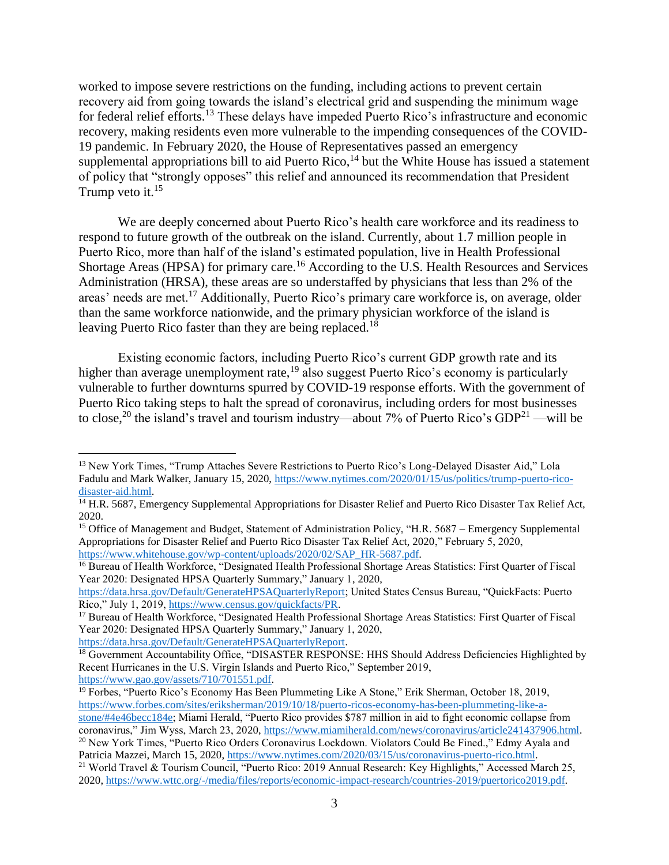worked to impose severe restrictions on the funding, including actions to prevent certain recovery aid from going towards the island's electrical grid and suspending the minimum wage for federal relief efforts.<sup>13</sup> These delays have impeded Puerto Rico's infrastructure and economic recovery, making residents even more vulnerable to the impending consequences of the COVID-19 pandemic. In February 2020, the House of Representatives passed an emergency supplemental appropriations bill to aid Puerto Rico,<sup>14</sup> but the White House has issued a statement of policy that "strongly opposes" this relief and announced its recommendation that President Trump veto it.<sup>15</sup>

We are deeply concerned about Puerto Rico's health care workforce and its readiness to respond to future growth of the outbreak on the island. Currently, about 1.7 million people in Puerto Rico, more than half of the island's estimated population, live in Health Professional Shortage Areas (HPSA) for primary care.<sup>16</sup> According to the U.S. Health Resources and Services Administration (HRSA), these areas are so understaffed by physicians that less than 2% of the areas' needs are met.<sup>17</sup> Additionally, Puerto Rico's primary care workforce is, on average, older than the same workforce nationwide, and the primary physician workforce of the island is leaving Puerto Rico faster than they are being replaced.<sup>18</sup>

Existing economic factors, including Puerto Rico's current GDP growth rate and its higher than average unemployment rate,<sup>19</sup> also suggest Puerto Rico's economy is particularly vulnerable to further downturns spurred by COVID-19 response efforts. With the government of Puerto Rico taking steps to halt the spread of coronavirus, including orders for most businesses to close,<sup>20</sup> the island's travel and tourism industry—about 7% of Puerto Rico's GDP<sup>21</sup> —will be

<sup>&</sup>lt;sup>13</sup> New York Times, "Trump Attaches Severe Restrictions to Puerto Rico's Long-Delayed Disaster Aid," Lola Fadulu and Mark Walker, January 15, 2020, [https://www.nytimes.com/2020/01/15/us/politics/trump-puerto-rico](https://www.nytimes.com/2020/01/15/us/politics/trump-puerto-rico-disaster-aid.html)[disaster-aid.html.](https://www.nytimes.com/2020/01/15/us/politics/trump-puerto-rico-disaster-aid.html)

<sup>&</sup>lt;sup>14</sup> H.R. 5687, Emergency Supplemental Appropriations for Disaster Relief and Puerto Rico Disaster Tax Relief Act, 2020.

<sup>&</sup>lt;sup>15</sup> Office of Management and Budget, Statement of Administration Policy, "H.R. 5687 – Emergency Supplemental Appropriations for Disaster Relief and Puerto Rico Disaster Tax Relief Act, 2020," February 5, 2020, [https://www.whitehouse.gov/wp-content/uploads/2020/02/SAP\\_HR-5687.pdf.](https://www.whitehouse.gov/wp-content/uploads/2020/02/SAP_HR-5687.pdf)

<sup>&</sup>lt;sup>16</sup> Bureau of Health Workforce, "Designated Health Professional Shortage Areas Statistics: First Quarter of Fiscal Year 2020: Designated HPSA Quarterly Summary," January 1, 2020,

[https://data.hrsa.gov/Default/GenerateHPSAQuarterlyReport;](https://data.hrsa.gov/Default/GenerateHPSAQuarterlyReport) United States Census Bureau, "QuickFacts: Puerto Rico," July 1, 2019[, https://www.census.gov/quickfacts/PR.](https://www.census.gov/quickfacts/PR)

<sup>&</sup>lt;sup>17</sup> Bureau of Health Workforce, "Designated Health Professional Shortage Areas Statistics: First Quarter of Fiscal Year 2020: Designated HPSA Quarterly Summary," January 1, 2020, [https://data.hrsa.gov/Default/GenerateHPSAQuarterlyReport.](https://data.hrsa.gov/Default/GenerateHPSAQuarterlyReport)

<sup>&</sup>lt;sup>18</sup> Government Accountability Office, "DISASTER RESPONSE: HHS Should Address Deficiencies Highlighted by Recent Hurricanes in the U.S. Virgin Islands and Puerto Rico," September 2019, [https://www.gao.gov/assets/710/701551.pdf.](https://www.gao.gov/assets/710/701551.pdf)

<sup>&</sup>lt;sup>19</sup> Forbes, "Puerto Rico's Economy Has Been Plummeting Like A Stone," Erik Sherman, October 18, 2019, [https://www.forbes.com/sites/eriksherman/2019/10/18/puerto-ricos-economy-has-been-plummeting-like-a](https://www.forbes.com/sites/eriksherman/2019/10/18/puerto-ricos-economy-has-been-plummeting-like-a-stone/#4e46becc184e)[stone/#4e46becc184e;](https://www.forbes.com/sites/eriksherman/2019/10/18/puerto-ricos-economy-has-been-plummeting-like-a-stone/#4e46becc184e) Miami Herald, "Puerto Rico provides \$787 million in aid to fight economic collapse from coronavirus," Jim Wyss, March 23, 2020[, https://www.miamiherald.com/news/coronavirus/article241437906.html.](https://www.miamiherald.com/news/coronavirus/article241437906.html) <sup>20</sup> New York Times, "Puerto Rico Orders Coronavirus Lockdown. Violators Could Be Fined.," Edmy Ayala and Patricia Mazzei, March 15, 2020, [https://www.nytimes.com/2020/03/15/us/coronavirus-puerto-rico.html.](https://www.nytimes.com/2020/03/15/us/coronavirus-puerto-rico.html) <sup>21</sup> World Travel & Tourism Council, "Puerto Rico: 2019 Annual Research: Key Highlights," Accessed March 25, 2020, [https://www.wttc.org/-/media/files/reports/economic-impact-research/countries-2019/puertorico2019.pdf.](https://www.wttc.org/-/media/files/reports/economic-impact-research/countries-2019/puertorico2019.pdf)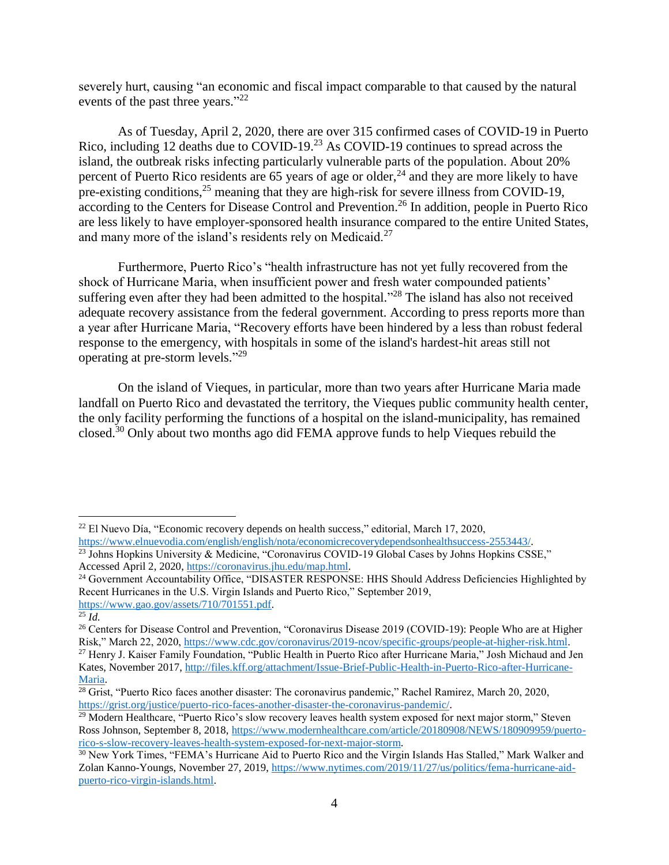severely hurt, causing "an economic and fiscal impact comparable to that caused by the natural events of the past three years."<sup>22</sup>

As of Tuesday, April 2, 2020, there are over 315 confirmed cases of COVID-19 in Puerto Rico, including 12 deaths due to COVID-19.<sup>23</sup> As COVID-19 continues to spread across the island, the outbreak risks infecting particularly vulnerable parts of the population. About 20% percent of Puerto Rico residents are 65 years of age or older,  $^{24}$  and they are more likely to have pre-existing conditions, $2^5$  meaning that they are high-risk for severe illness from COVID-19, according to the Centers for Disease Control and Prevention.<sup>26</sup> In addition, people in Puerto Rico are less likely to have employer-sponsored health insurance compared to the entire United States, and many more of the island's residents rely on Medicaid.<sup>27</sup>

Furthermore, Puerto Rico's "health infrastructure has not yet fully recovered from the shock of Hurricane Maria, when insufficient power and fresh water compounded patients' suffering even after they had been admitted to the hospital."<sup>28</sup> The island has also not received adequate recovery assistance from the federal government. According to press reports more than a year after Hurricane Maria, "Recovery efforts have been hindered by a less than robust federal response to the emergency, with hospitals in some of the island's hardest-hit areas still not operating at pre-storm levels."<sup>29</sup>

On the island of Vieques, in particular, more than two years after Hurricane Maria made landfall on Puerto Rico and devastated the territory, the Vieques public community health center, the only facility performing the functions of a hospital on the island-municipality, has remained closed.<sup>30</sup> Only about two months ago did FEMA approve funds to help Vieques rebuild the

<sup>22</sup> El Nuevo Día, "Economic recovery depends on health success," editorial, March 17, 2020,

[https://www.elnuevodia.com/english/english/nota/economicrecoverydependsonhealthsuccess-2553443/.](https://www.elnuevodia.com/english/english/nota/economicrecoverydependsonhealthsuccess-2553443/) <sup>23</sup> Johns Hopkins University & Medicine, "Coronavirus COVID-19 Global Cases by Johns Hopkins CSSE," Accessed April 2, 2020, [https://coronavirus.jhu.edu/map.html.](https://coronavirus.jhu.edu/map.html)

<sup>&</sup>lt;sup>24</sup> Government Accountability Office, "DISASTER RESPONSE: HHS Should Address Deficiencies Highlighted by Recent Hurricanes in the U.S. Virgin Islands and Puerto Rico," September 2019, [https://www.gao.gov/assets/710/701551.pdf.](https://www.gao.gov/assets/710/701551.pdf) 

 $\overline{^{25}}$ *Id.* 

<sup>&</sup>lt;sup>26</sup> Centers for Disease Control and Prevention, "Coronavirus Disease 2019 (COVID-19): People Who are at Higher Risk," March 22, 2020, [https://www.cdc.gov/coronavirus/2019-ncov/specific-groups/people-at-higher-risk.html.](https://www.cdc.gov/coronavirus/2019-ncov/specific-groups/people-at-higher-risk.html)

<sup>27</sup> Henry J. Kaiser Family Foundation, "Public Health in Puerto Rico after Hurricane Maria," Josh Michaud and Jen Kates, November 2017, [http://files.kff.org/attachment/Issue-Brief-Public-Health-in-Puerto-Rico-after-Hurricane-](http://files.kff.org/attachment/Issue-Brief-Public-Health-in-Puerto-Rico-after-Hurricane-Maria)[Maria.](http://files.kff.org/attachment/Issue-Brief-Public-Health-in-Puerto-Rico-after-Hurricane-Maria)

 $28$  Grist, "Puerto Rico faces another disaster: The coronavirus pandemic," Rachel Ramirez, March 20, 2020, [https://grist.org/justice/puerto-rico-faces-another-disaster-the-coronavirus-pandemic/.](https://grist.org/justice/puerto-rico-faces-another-disaster-the-coronavirus-pandemic/)

<sup>&</sup>lt;sup>29</sup> Modern Healthcare, "Puerto Rico's slow recovery leaves health system exposed for next major storm," Steven Ross Johnson, September 8, 2018, [https://www.modernhealthcare.com/article/20180908/NEWS/180909959/puerto](https://www.modernhealthcare.com/article/20180908/NEWS/180909959/puerto-rico-s-slow-recovery-leaves-health-system-exposed-for-next-major-storm)[rico-s-slow-recovery-leaves-health-system-exposed-for-next-major-storm.](https://www.modernhealthcare.com/article/20180908/NEWS/180909959/puerto-rico-s-slow-recovery-leaves-health-system-exposed-for-next-major-storm)

<sup>30</sup> New York Times, "FEMA's Hurricane Aid to Puerto Rico and the Virgin Islands Has Stalled," Mark Walker and Zolan Kanno-Youngs, November 27, 2019[, https://www.nytimes.com/2019/11/27/us/politics/fema-hurricane-aid](https://www.nytimes.com/2019/11/27/us/politics/fema-hurricane-aid-puerto-rico-virgin-islands.html)[puerto-rico-virgin-islands.html.](https://www.nytimes.com/2019/11/27/us/politics/fema-hurricane-aid-puerto-rico-virgin-islands.html)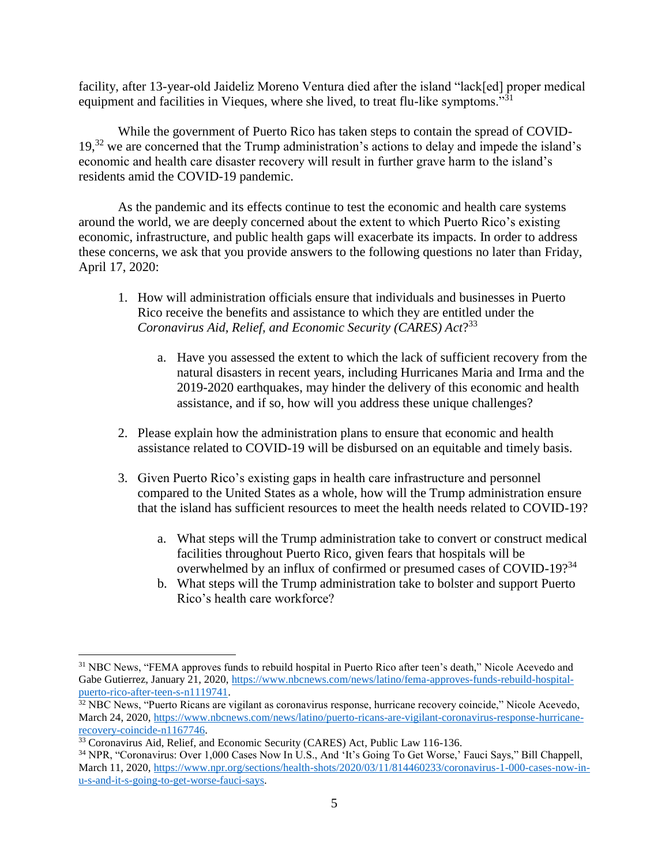facility, after 13-year-old Jaideliz Moreno Ventura died after the island "lack[ed] proper medical equipment and facilities in Vieques, where she lived, to treat flu-like symptoms."<sup>31</sup>

While the government of Puerto Rico has taken steps to contain the spread of COVID-19,<sup>32</sup> we are concerned that the Trump administration's actions to delay and impede the island's economic and health care disaster recovery will result in further grave harm to the island's residents amid the COVID-19 pandemic.

As the pandemic and its effects continue to test the economic and health care systems around the world, we are deeply concerned about the extent to which Puerto Rico's existing economic, infrastructure, and public health gaps will exacerbate its impacts. In order to address these concerns, we ask that you provide answers to the following questions no later than Friday, April 17, 2020:

- 1. How will administration officials ensure that individuals and businesses in Puerto Rico receive the benefits and assistance to which they are entitled under the *Coronavirus Aid, Relief, and Economic Security (CARES) Act*? 33
	- a. Have you assessed the extent to which the lack of sufficient recovery from the natural disasters in recent years, including Hurricanes Maria and Irma and the 2019-2020 earthquakes, may hinder the delivery of this economic and health assistance, and if so, how will you address these unique challenges?
- 2. Please explain how the administration plans to ensure that economic and health assistance related to COVID-19 will be disbursed on an equitable and timely basis.
- 3. Given Puerto Rico's existing gaps in health care infrastructure and personnel compared to the United States as a whole, how will the Trump administration ensure that the island has sufficient resources to meet the health needs related to COVID-19?
	- a. What steps will the Trump administration take to convert or construct medical facilities throughout Puerto Rico, given fears that hospitals will be overwhelmed by an influx of confirmed or presumed cases of COVID-19?<sup>34</sup>
	- b. What steps will the Trump administration take to bolster and support Puerto Rico's health care workforce?

<sup>&</sup>lt;sup>31</sup> NBC News, "FEMA approves funds to rebuild hospital in Puerto Rico after teen's death," Nicole Acevedo and Gabe Gutierrez, January 21, 2020, [https://www.nbcnews.com/news/latino/fema-approves-funds-rebuild-hospital](https://www.nbcnews.com/news/latino/fema-approves-funds-rebuild-hospital-puerto-rico-after-teen-s-n1119741)[puerto-rico-after-teen-s-n1119741.](https://www.nbcnews.com/news/latino/fema-approves-funds-rebuild-hospital-puerto-rico-after-teen-s-n1119741)

<sup>32</sup> NBC News, "Puerto Ricans are vigilant as coronavirus response, hurricane recovery coincide," Nicole Acevedo, March 24, 2020[, https://www.nbcnews.com/news/latino/puerto-ricans-are-vigilant-coronavirus-response-hurricane](https://www.nbcnews.com/news/latino/puerto-ricans-are-vigilant-coronavirus-response-hurricane-recovery-coincide-n1167746)[recovery-coincide-n1167746.](https://www.nbcnews.com/news/latino/puerto-ricans-are-vigilant-coronavirus-response-hurricane-recovery-coincide-n1167746)

<sup>&</sup>lt;sup>33</sup> Coronavirus Aid, Relief, and Economic Security (CARES) Act, Public Law 116-136.

<sup>34</sup> NPR, "Coronavirus: Over 1,000 Cases Now In U.S., And 'It's Going To Get Worse,' Fauci Says," Bill Chappell, March 11, 2020[, https://www.npr.org/sections/health-shots/2020/03/11/814460233/coronavirus-1-000-cases-now-in](https://www.npr.org/sections/health-shots/2020/03/11/814460233/coronavirus-1-000-cases-now-in-u-s-and-it-s-going-to-get-worse-fauci-says)[u-s-and-it-s-going-to-get-worse-fauci-says.](https://www.npr.org/sections/health-shots/2020/03/11/814460233/coronavirus-1-000-cases-now-in-u-s-and-it-s-going-to-get-worse-fauci-says)